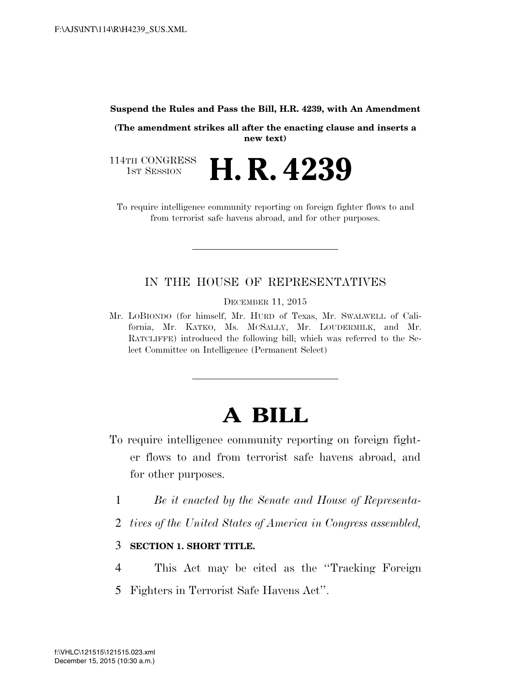#### **Suspend the Rules and Pass the Bill, H.R. 4239, with An Amendment**

**(The amendment strikes all after the enacting clause and inserts a new text)** 

114TH CONGRESS<br>1st Session H. R. 4239

To require intelligence community reporting on foreign fighter flows to and from terrorist safe havens abroad, and for other purposes.

### IN THE HOUSE OF REPRESENTATIVES

DECEMBER 11, 2015

Mr. LOBIONDO (for himself, Mr. HURD of Texas, Mr. SWALWELL of California, Mr. KATKO, Ms. MCSALLY, Mr. LOUDERMILK, and Mr. RATCLIFFE) introduced the following bill; which was referred to the Select Committee on Intelligence (Permanent Select)

# **A BILL**

- To require intelligence community reporting on foreign fighter flows to and from terrorist safe havens abroad, and for other purposes.
	- 1 *Be it enacted by the Senate and House of Representa-*
	- 2 *tives of the United States of America in Congress assembled,*

### 3 **SECTION 1. SHORT TITLE.**

- 4 This Act may be cited as the ''Tracking Foreign
- 5 Fighters in Terrorist Safe Havens Act''.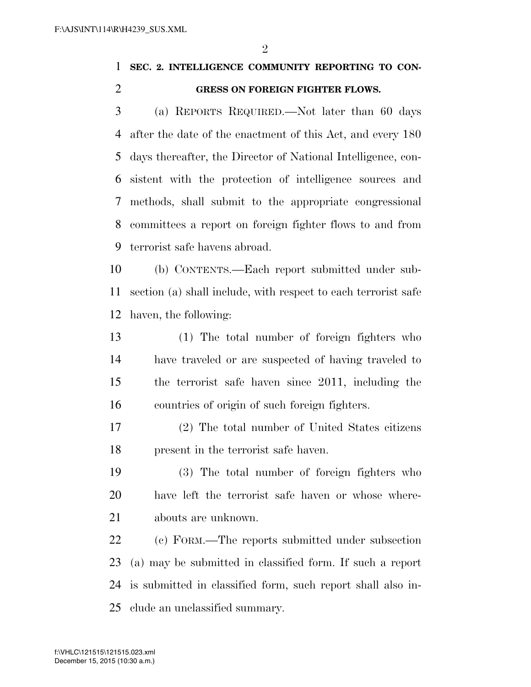$\mathfrak{D}$ 

## **SEC. 2. INTELLIGENCE COMMUNITY REPORTING TO CON-GRESS ON FOREIGN FIGHTER FLOWS.**

 (a) REPORTS REQUIRED.—Not later than 60 days after the date of the enactment of this Act, and every 180 days thereafter, the Director of National Intelligence, con- sistent with the protection of intelligence sources and methods, shall submit to the appropriate congressional committees a report on foreign fighter flows to and from terrorist safe havens abroad.

 (b) CONTENTS.—Each report submitted under sub- section (a) shall include, with respect to each terrorist safe haven, the following:

 (1) The total number of foreign fighters who have traveled or are suspected of having traveled to the terrorist safe haven since 2011, including the countries of origin of such foreign fighters.

 (2) The total number of United States citizens present in the terrorist safe haven.

 (3) The total number of foreign fighters who have left the terrorist safe haven or whose where-abouts are unknown.

 (c) FORM.—The reports submitted under subsection (a) may be submitted in classified form. If such a report is submitted in classified form, such report shall also in-clude an unclassified summary.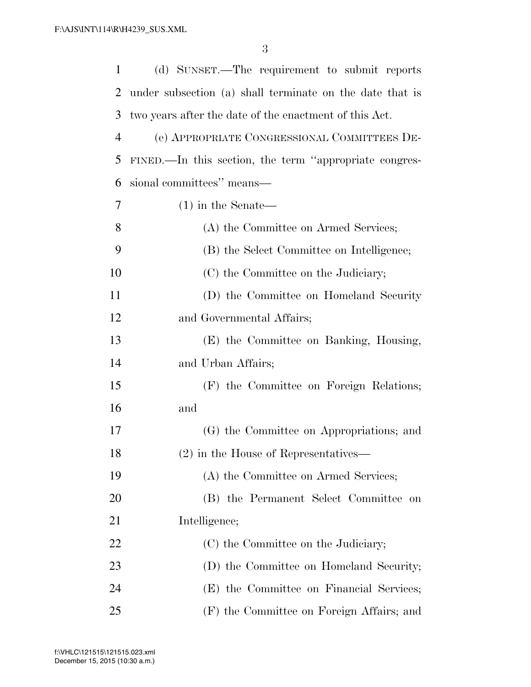| $\mathbf{1}$   | (d) SUNSET.—The requirement to submit reports            |
|----------------|----------------------------------------------------------|
| 2              | under subsection (a) shall terminate on the date that is |
| 3              | two years after the date of the enactment of this Act.   |
| $\overline{4}$ | (e) APPROPRIATE CONGRESSIONAL COMMITTEES DE-             |
| 5              | FINED.—In this section, the term "appropriate congres-   |
| 6              | sional committees" means—                                |
| 7              | $(1)$ in the Senate—                                     |
| 8              | (A) the Committee on Armed Services;                     |
| 9              | (B) the Select Committee on Intelligence;                |
| 10             | (C) the Committee on the Judiciary;                      |
| 11             | (D) the Committee on Homeland Security                   |
| 12             | and Governmental Affairs;                                |
| 13             | (E) the Committee on Banking, Housing,                   |
| 14             | and Urban Affairs;                                       |
| 15             | (F) the Committee on Foreign Relations;                  |
| 16             | and                                                      |
| 17             | (G) the Committee on Appropriations; and                 |
| 18             | $(2)$ in the House of Representatives                    |
| 19             | (A) the Committee on Armed Services;                     |
| 20             | (B) the Permanent Select Committee on                    |
| 21             | Intelligence;                                            |
| 22             | (C) the Committee on the Judiciary;                      |
| 23             | (D) the Committee on Homeland Security;                  |
| 24             | (E) the Committee on Financial Services;                 |
| 25             | (F) the Committee on Foreign Affairs; and                |